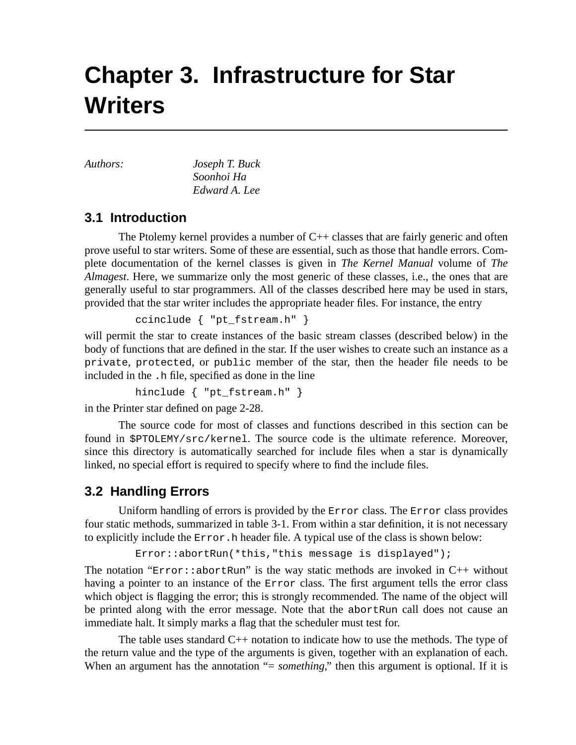# **Chapter 3. Infrastructure for Star Writers**

*Authors: Joseph T. Buck Soonhoi Ha Edward A. Lee*

# **3.1 Introduction**

The Ptolemy kernel provides a number of C++ classes that are fairly generic and often prove useful to star writers. Some of these are essential, such as those that handle errors. Complete documentation of the kernel classes is given in *The Kernel Manual* volume of *The Almagest*. Here, we summarize only the most generic of these classes, i.e., the ones that are generally useful to star programmers. All of the classes described here may be used in stars, provided that the star writer includes the appropriate header files. For instance, the entry

ccinclude { "pt\_fstream.h" }

will permit the star to create instances of the basic stream classes (described below) in the body of functions that are defined in the star. If the user wishes to create such an instance as a private, protected, or public member of the star, then the header file needs to be included in the .h file, specified as done in the line

hinclude { "pt\_fstream.h" }

in the Printer star defined on page 2-28.

The source code for most of classes and functions described in this section can be found in \$PTOLEMY/src/kernel. The source code is the ultimate reference. Moreover, since this directory is automatically searched for include files when a star is dynamically linked, no special effort is required to specify where to find the include files.

# **3.2 Handling Errors**

Uniform handling of errors is provided by the Error class. The Error class provides four static methods, summarized in table 3-1. From within a star definition, it is not necessary to explicitly include the Error.h header file. A typical use of the class is shown below:

```
Error::abortRun(*this,"this message is displayed");
```
The notation " $Error: :abortRun"$  is the way static methods are invoked in  $C++$  without having a pointer to an instance of the Error class. The first argument tells the error class which object is flagging the error; this is strongly recommended. The name of the object will be printed along with the error message. Note that the abortRun call does not cause an immediate halt. It simply marks a flag that the scheduler must test for.

The table uses standard C++ notation to indicate how to use the methods. The type of the return value and the type of the arguments is given, together with an explanation of each. When an argument has the annotation "= *something*," then this argument is optional. If it is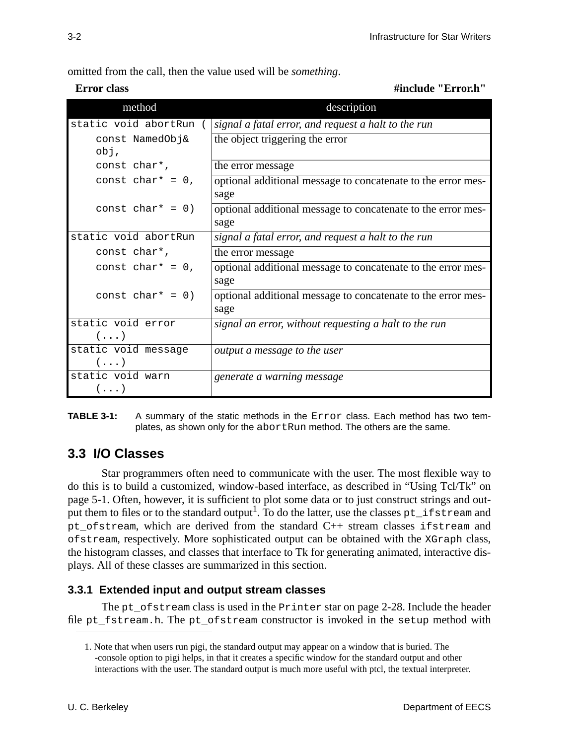omitted from the call, then the value used will be *something*.

**Error class** #include "Error.h"

| method                            | description                                                          |
|-----------------------------------|----------------------------------------------------------------------|
| static void abortRun              | signal a fatal error, and request a halt to the run                  |
| const NamedObj&<br>obj,           | the object triggering the error                                      |
| const char*,                      | the error message                                                    |
| const char* = $0$ ,               | optional additional message to concatenate to the error mes-<br>sage |
| const char* = $0$ )               | optional additional message to concatenate to the error mes-<br>sage |
| static void abortRun              | signal a fatal error, and request a halt to the run                  |
| const char*,                      | the error message                                                    |
| const char* = $0,$                | optional additional message to concatenate to the error mes-<br>sage |
| const char* = $0$ )               | optional additional message to concatenate to the error mes-<br>sage |
| static void error                 | signal an error, without requesting a halt to the run                |
| $(\ldots)$                        |                                                                      |
| static void message<br>$(\ldots)$ | output a message to the user                                         |
| static void warn<br>$(\ldots)$    | generate a warning message                                           |

**TABLE 3-1:** A summary of the static methods in the Error class. Each method has two templates, as shown only for the abortRun method. The others are the same.

# **3.3 I/O Classes**

Star programmers often need to communicate with the user. The most flexible way to do this is to build a customized, window-based interface, as described in "Using Tcl/Tk" on page 5-1. Often, however, it is sufficient to plot some data or to just construct strings and output them to files or to the standard output<sup>1</sup>. To do the latter, use the classes pt\_ifstream and pt\_ofstream, which are derived from the standard C++ stream classes ifstream and ofstream, respectively. More sophisticated output can be obtained with the XGraph class, the histogram classes, and classes that interface to Tk for generating animated, interactive displays. All of these classes are summarized in this section.

### **3.3.1 Extended input and output stream classes**

The pt of stream class is used in the Printer star on page 2-28. Include the header file pt\_fstream.h. The pt\_ofstream constructor is invoked in the setup method with

<sup>1.</sup> Note that when users run pigi, the standard output may appear on a window that is buried. The -console option to pigi helps, in that it creates a specific window for the standard output and other interactions with the user. The standard output is much more useful with ptcl, the textual interpreter.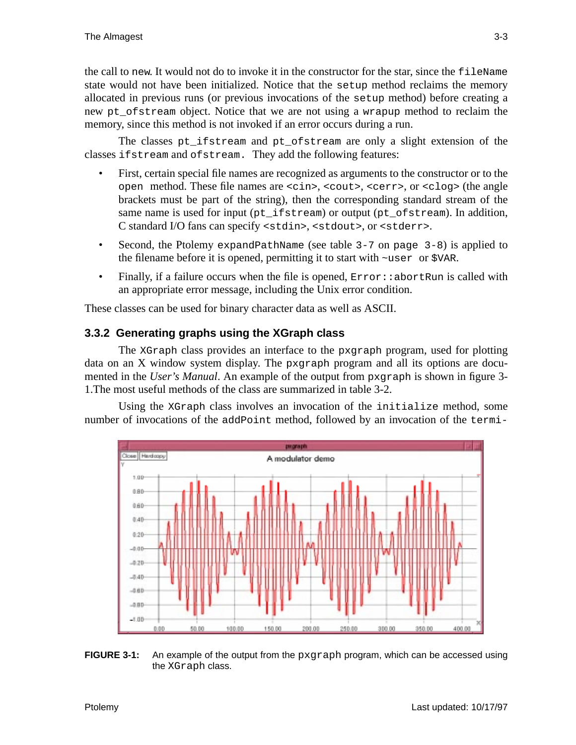the call to new. It would not do to invoke it in the constructor for the star, since the fileName state would not have been initialized. Notice that the setup method reclaims the memory allocated in previous runs (or previous invocations of the setup method) before creating a new pt\_ofstream object. Notice that we are not using a wrapup method to reclaim the memory, since this method is not invoked if an error occurs during a run.

The classes pt ifstream and pt ofstream are only a slight extension of the classes ifstream and ofstream. They add the following features:

- First, certain special file names are recognized as arguments to the constructor or to the open method. These file names are <cin>, <cout>, <cerr>, or <clog> (the angle brackets must be part of the string), then the corresponding standard stream of the same name is used for input (pt\_ifstream) or output (pt\_ofstream). In addition, C standard I/O fans can specify <stdin>, <stdout>, or <stderr>.
- Second, the Ptolemy expandPathName (see table 3-7 on page 3-8) is applied to the filename before it is opened, permitting it to start with ~user or \$VAR.
- Finally, if a failure occurs when the file is opened,  $Error: :$  abortRun is called with an appropriate error message, including the Unix error condition.

These classes can be used for binary character data as well as ASCII.

### **3.3.2 Generating graphs using the XGraph class**

The XGraph class provides an interface to the pxgraph program, used for plotting data on an X window system display. The pxgraph program and all its options are documented in the *User's Manual*. An example of the output from pxgraph is shown in figure 3- 1.The most useful methods of the class are summarized in table 3-2.

Using the XGraph class involves an invocation of the initialize method, some number of invocations of the addPoint method, followed by an invocation of the termi-



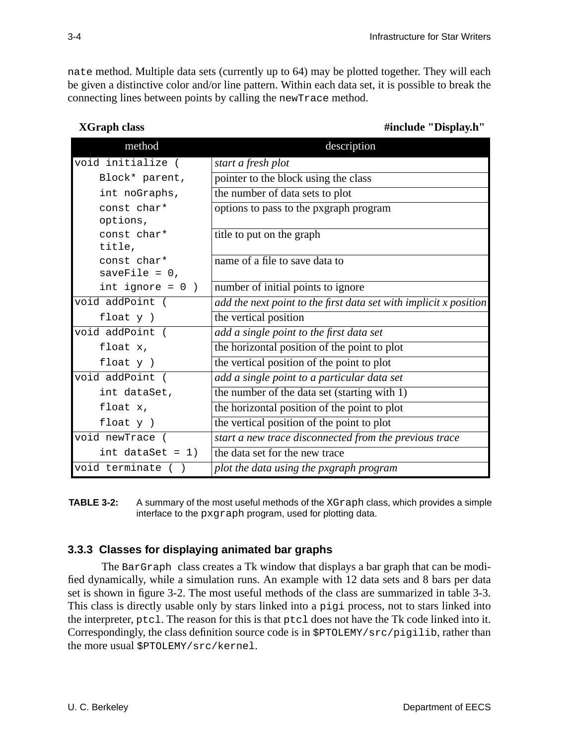nate method. Multiple data sets (currently up to 64) may be plotted together. They will each be given a distinctive color and/or line pattern. Within each data set, it is possible to break the connecting lines between points by calling the newTrace method.

| method                         | description                                                       |
|--------------------------------|-------------------------------------------------------------------|
| void initialize (              | start a fresh plot                                                |
| Block* parent,                 | pointer to the block using the class                              |
| int noGraphs,                  | the number of data sets to plot                                   |
| const char*<br>options,        | options to pass to the pxgraph program                            |
| const char*<br>title,          | title to put on the graph                                         |
| const char*<br>saveFile = $0,$ | name of a file to save data to                                    |
| int ignore = $0$ )             | number of initial points to ignore                                |
| void addPoint (                | add the next point to the first data set with implicit x position |
| float $y$ )                    | the vertical position                                             |
| void addPoint (                | add a single point to the first data set                          |
| float x,                       | the horizontal position of the point to plot                      |
| float $y$ )                    | the vertical position of the point to plot                        |
| void addPoint (                | add a single point to a particular data set                       |
| int dataSet,                   | the number of the data set (starting with 1)                      |
| float x,                       | the horizontal position of the point to plot                      |
| float y )                      | the vertical position of the point to plot                        |
| void newTrace (                | start a new trace disconnected from the previous trace            |
| int dataSet = $1)$             | the data set for the new trace                                    |
| void terminate                 | plot the data using the pxgraph program                           |

 **XGraph class** #include "Display.h"

**TABLE 3-2:** A summary of the most useful methods of the XGraph class, which provides a simple interface to the pxgraph program, used for plotting data.

### **3.3.3 Classes for displaying animated bar graphs**

The BarGraph class creates a Tk window that displays a bar graph that can be modified dynamically, while a simulation runs. An example with 12 data sets and 8 bars per data set is shown in figure 3-2. The most useful methods of the class are summarized in table 3-3. This class is directly usable only by stars linked into a pigi process, not to stars linked into the interpreter, ptcl. The reason for this is that ptcl does not have the Tk code linked into it. Correspondingly, the class definition source code is in \$PTOLEMY/src/pigilib, rather than the more usual \$PTOLEMY/src/kernel.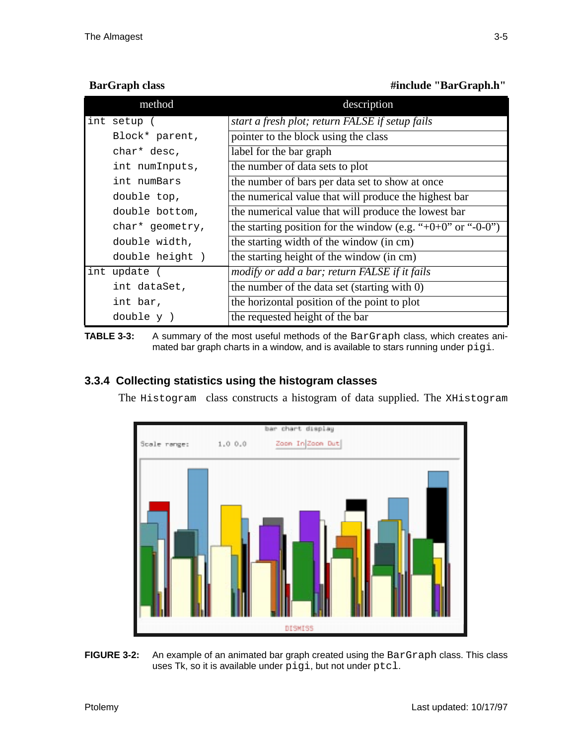**BarGraph class** #include "BarGraph.h"

|              | method          | description                                                          |
|--------------|-----------------|----------------------------------------------------------------------|
| int setup (  |                 | start a fresh plot; return FALSE if setup fails                      |
|              | Block* parent,  | pointer to the block using the class                                 |
| char* desc,  |                 | label for the bar graph                                              |
|              | int numInputs,  | the number of data sets to plot                                      |
|              | int numBars     | the number of bars per data set to show at once                      |
| double top,  |                 | the numerical value that will produce the highest bar                |
|              | double bottom,  | the numerical value that will produce the lowest bar                 |
|              | char* geometry, | the starting position for the window (e.g. "+ $0+0$ " or "- $0-0$ ") |
|              | double width,   | the starting width of the window (in cm)                             |
|              | double height)  | the starting height of the window (in cm)                            |
| int update ( |                 | modify or add a bar; return FALSE if it fails                        |
|              | int dataSet,    | the number of the data set (starting with 0)                         |
| int bar,     |                 | the horizontal position of the point to plot                         |
| double y)    |                 | the requested height of the bar                                      |

**TABLE 3-3:** A summary of the most useful methods of the BarGraph class, which creates animated bar graph charts in a window, and is available to stars running under pigi.

## **3.3.4 Collecting statistics using the histogram classes**

The Histogram class constructs a histogram of data supplied. The XHistogram



**FIGURE 3-2:** An example of an animated bar graph created using the BarGraph class. This class uses Tk, so it is available under pigi, but not under ptcl.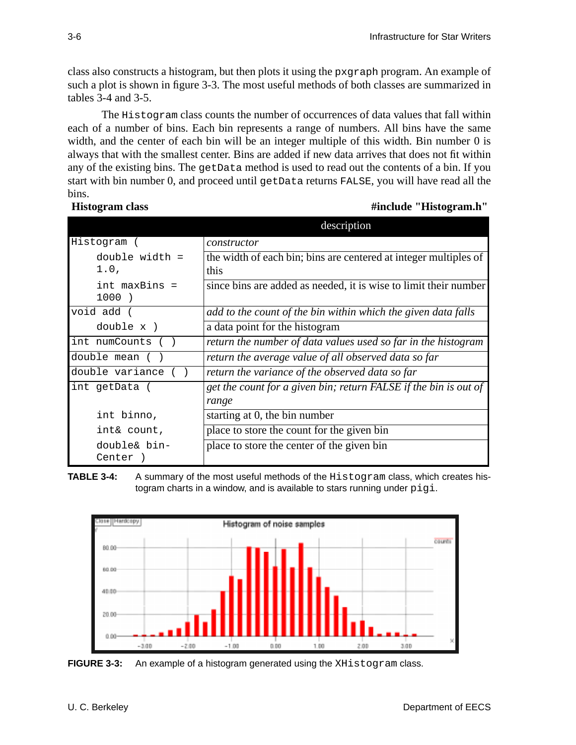class also constructs a histogram, but then plots it using the pxgraph program. An example of such a plot is shown in figure 3-3. The most useful methods of both classes are summarized in tables 3-4 and 3-5.

The Histogram class counts the number of occurrences of data values that fall within each of a number of bins. Each bin represents a range of numbers. All bins have the same width, and the center of each bin will be an integer multiple of this width. Bin number 0 is always that with the smallest center. Bins are added if new data arrives that does not fit within any of the existing bins. The getData method is used to read out the contents of a bin. If you start with bin number 0, and proceed until getData returns FALSE, you will have read all the bins.

### **Histogram class** #include "Histogram.h"

|                  | description                                                      |
|------------------|------------------------------------------------------------------|
| Histogram (      | constructor                                                      |
| $double width =$ | the width of each bin; bins are centered at integer multiples of |
| 1.0,             | this                                                             |
| int maxBins =    | since bins are added as needed, it is wise to limit their number |
| 1000)            |                                                                  |
| void add (       | add to the count of the bin within which the given data falls    |
| double x )       | a data point for the histogram                                   |
| int numCounts    | return the number of data values used so far in the histogram    |
| double mean (    | return the average value of all observed data so far             |
| double variance  | return the variance of the observed data so far                  |
| int getData (    | get the count for a given bin; return FALSE if the bin is out of |
|                  | range                                                            |
| int binno,       | starting at 0, the bin number                                    |
| int& count,      | place to store the count for the given bin                       |
| double& bin-     | place to store the center of the given bin                       |
| Center           |                                                                  |

**TABLE 3-4:** A summary of the most useful methods of the Histogram class, which creates histogram charts in a window, and is available to stars running under  $pi$ 



**FIGURE 3-3:** An example of a histogram generated using the XHistogram class.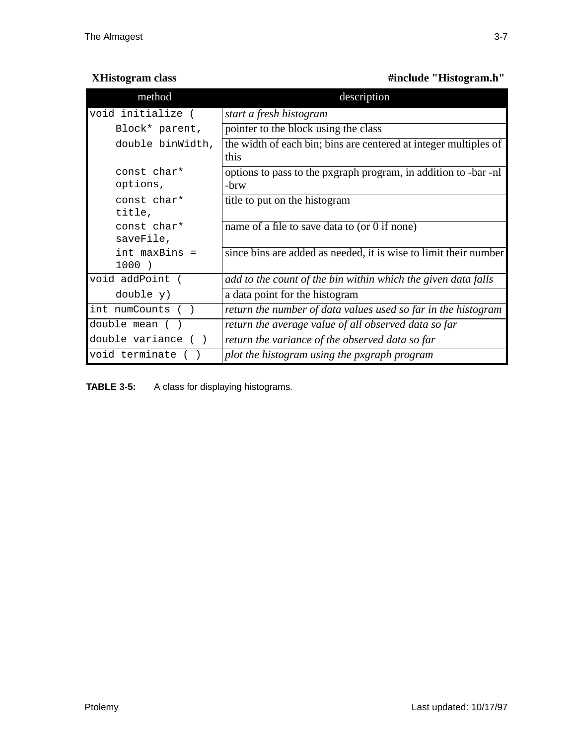| <b>XHistogram class</b> | #include "Histogram.h" |
|-------------------------|------------------------|
|-------------------------|------------------------|

| method                   | description                                                              |
|--------------------------|--------------------------------------------------------------------------|
| void initialize (        | start a fresh histogram                                                  |
| Block* parent,           | pointer to the block using the class                                     |
| double binWidth,         | the width of each bin; bins are centered at integer multiples of<br>this |
| const char*<br>options,  | options to pass to the pxgraph program, in addition to -bar -nl<br>-brw  |
| const char*<br>title,    | title to put on the histogram                                            |
| const char*<br>saveFile, | name of a file to save data to (or 0 if none)                            |
| int maxBins =<br>1000)   | since bins are added as needed, it is wise to limit their number         |
| void addPoint (          | add to the count of the bin within which the given data falls            |
| double y)                | a data point for the histogram                                           |
| int numCounts            | return the number of data values used so far in the histogram            |
| double mean (            | return the average value of all observed data so far                     |
| double variance          | return the variance of the observed data so far                          |
| void terminate           | plot the histogram using the pxgraph program                             |

**TABLE 3-5:** A class for displaying histograms.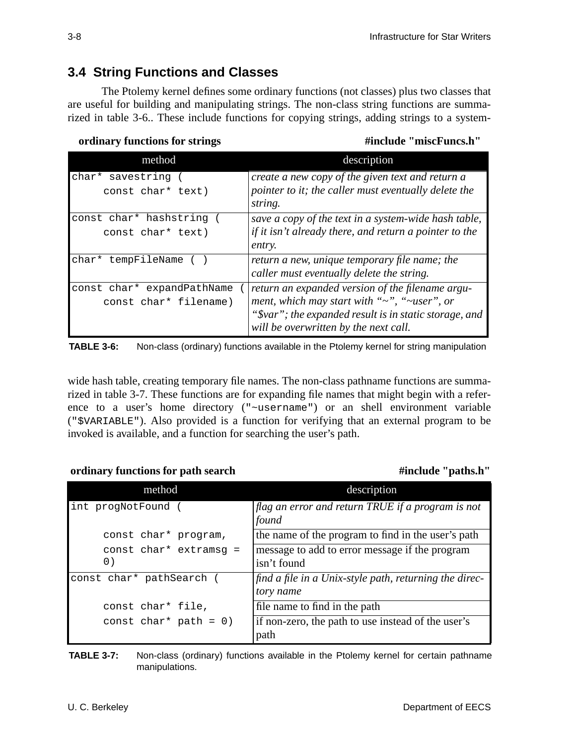# **3.4 String Functions and Classes**

The Ptolemy kernel defines some ordinary functions (not classes) plus two classes that are useful for building and manipulating strings. The non-class string functions are summarized in table 3-6.. These include functions for copying strings, adding strings to a system-

*ordinary functions for strings* $\qquad \qquad \qquad$  **#include "miscFuncs.h"** 

| method                     | description                                               |
|----------------------------|-----------------------------------------------------------|
| char* savestring           | create a new copy of the given text and return a          |
| const char* text)          | pointer to it; the caller must eventually delete the      |
|                            | string.                                                   |
| const char* hashstring     | save a copy of the text in a system-wide hash table,      |
| const char* text)          | if it isn't already there, and return a pointer to the    |
|                            | entry.                                                    |
| char* tempFileName         | return a new, unique temporary file name; the             |
|                            | caller must eventually delete the string.                 |
| const char* expandPathName | return an expanded version of the filename argu-          |
| const char* filename)      | ment, which may start with " $\sim$ ", " $\sim$ user", or |
|                            | "\$var"; the expanded result is in static storage, and    |
|                            | will be overwritten by the next call.                     |

**TABLE 3-6:** Non-class (ordinary) functions available in the Ptolemy kernel for string manipulation

wide hash table, creating temporary file names. The non-class pathname functions are summarized in table 3-7. These functions are for expanding file names that might begin with a reference to a user's home directory ("~username") or an shell environment variable ("\$VARIABLE"). Also provided is a function for verifying that an external program to be invoked is available, and a function for searching the user's path.

*ordinary functions for path search* **#include "paths.h"** 

| method                         | description                                                         |
|--------------------------------|---------------------------------------------------------------------|
| int progNotFound               | $\int$ flag an error and return TRUE if a program is not<br>found   |
| const char* program,           | the name of the program to find in the user's path                  |
| const $char*$ extramsq =<br>0) | message to add to error message if the program<br>isn't found       |
| const char* pathSearch         | find a file in a Unix-style path, returning the direc-<br>tory name |
| const char* file,              | file name to find in the path                                       |
| const char* path = $0$ )       | if non-zero, the path to use instead of the user's<br>path          |

**TABLE 3-7:** Non-class (ordinary) functions available in the Ptolemy kernel for certain pathname manipulations.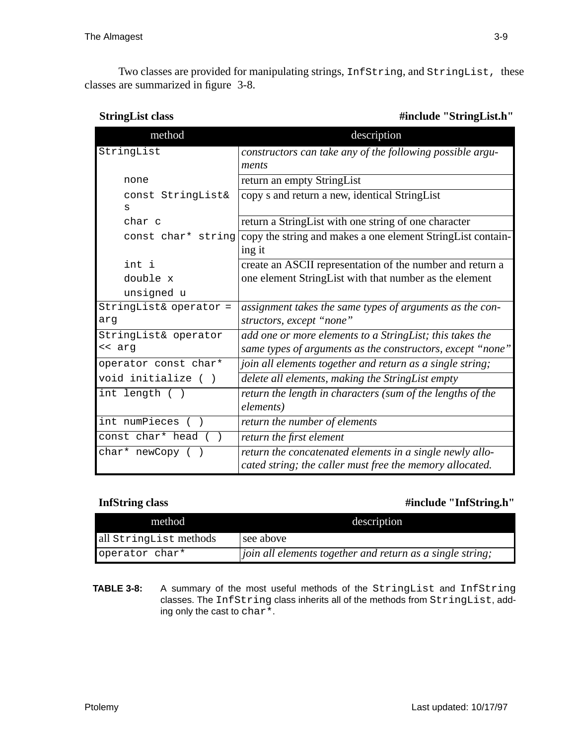Two classes are provided for manipulating strings, InfString, and StringList, these classes are summarized in figure 3-8.

#include "StringList.h"

| method                 | description                                                  |
|------------------------|--------------------------------------------------------------|
| StringList             | constructors can take any of the following possible argu-    |
|                        | ments                                                        |
| none                   | return an empty StringList                                   |
| const StringList&      | copy s and return a new, identical StringList                |
| S                      |                                                              |
| char c                 | return a StringList with one string of one character         |
| const char* string     | copy the string and makes a one element String List contain- |
|                        | ing it                                                       |
| int i                  | create an ASCII representation of the number and return a    |
| double x               | one element StringList with that number as the element       |
| unsigned u             |                                                              |
| StringList& operator = | assignment takes the same types of arguments as the con-     |
| arg                    | structors, except "none"                                     |
| StringList& operator   | add one or more elements to a StringList; this takes the     |
| << arg                 | same types of arguments as the constructors, except "none"   |
| operator const char*   | join all elements together and return as a single string;    |
| void initialize ()     | delete all elements, making the StringList empty             |
| int length ( )         | return the length in characters (sum of the lengths of the   |
|                        | elements)                                                    |
| int numPieces ()       | return the number of elements                                |
| const char* head ()    | return the first element                                     |
| char* newCopy ()       | return the concatenated elements in a single newly allo-     |
|                        | cated string; the caller must free the memory allocated.     |

### **InfString class** #include "InfString.h"

| method                 | description                                                       |
|------------------------|-------------------------------------------------------------------|
| all StringList methods | see above                                                         |
| operator char*         | $\vert$ join all elements together and return as a single string; |

**TABLE 3-8:** A summary of the most useful methods of the StringList and InfString classes. The InfString class inherits all of the methods from StringList, adding only the cast to char\*.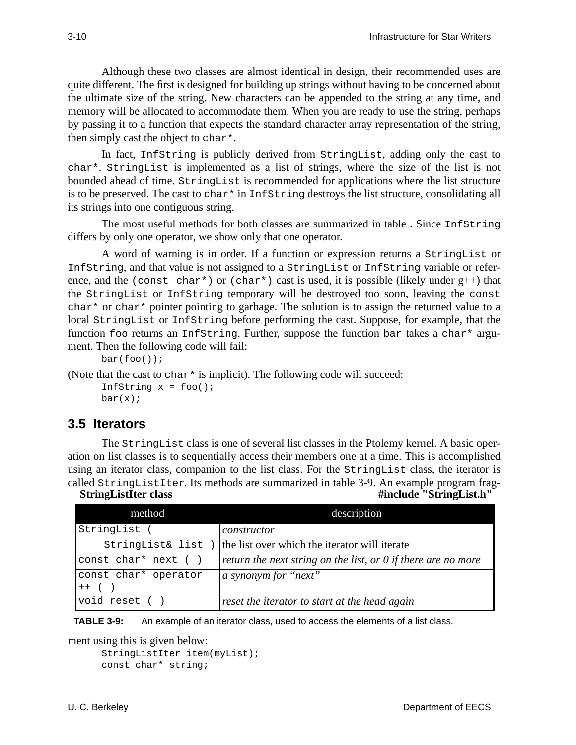Although these two classes are almost identical in design, their recommended uses are quite different. The first is designed for building up strings without having to be concerned about the ultimate size of the string. New characters can be appended to the string at any time, and memory will be allocated to accommodate them. When you are ready to use the string, perhaps by passing it to a function that expects the standard character array representation of the string, then simply cast the object to char\*.

In fact, InfString is publicly derived from StringList, adding only the cast to char\*. StringList is implemented as a list of strings, where the size of the list is not bounded ahead of time. StringList is recommended for applications where the list structure is to be preserved. The cast to char\* in InfString destroys the list structure, consolidating all its strings into one contiguous string.

The most useful methods for both classes are summarized in table . Since InfString differs by only one operator, we show only that one operator.

A word of warning is in order. If a function or expression returns a StringList or InfString, and that value is not assigned to a StringList or InfString variable or reference, and the (const char\*) or (char\*) cast is used, it is possible (likely under g++) that the StringList or InfString temporary will be destroyed too soon, leaving the const char<sup>\*</sup> or char<sup>\*</sup> pointer pointing to garbage. The solution is to assign the returned value to a local StringList or InfString before performing the cast. Suppose, for example, that the function foo returns an InfString. Further, suppose the function bar takes a char\* argument. Then the following code will fail:

```
bar(foo());
```
(Note that the cast to char  $*$  is implicit). The following code will succeed: InfString  $x = foo()$ ;  $bar(x)$ ;

# **3.5 Iterators**

The StringList class is one of several list classes in the Ptolemy kernel. A basic operation on list classes is to sequentially access their members one at a time. This is accomplished using an iterator class, companion to the list class. For the StringList class, the iterator is called StringListIter. Its methods are summarized in table 3-9. An example program frag-

| <b>StringListIter class</b> | #include "StringList.h" |
|-----------------------------|-------------------------|
|-----------------------------|-------------------------|

| method                                                      | description                                                          |
|-------------------------------------------------------------|----------------------------------------------------------------------|
| StringList (                                                | constructor                                                          |
| StringList& list )                                          | the list over which the iterator will iterate                        |
| const char* next ()                                         | return the next string on the list, or $\theta$ if there are no more |
| const char* operator<br>$\left ++\right $ $\left ++\right $ | a synonym for "next"                                                 |
| void reset (                                                | reset the iterator to start at the head again                        |

**TABLE 3-9:** An example of an iterator class, used to access the elements of a list class.

ment using this is given below:

```
StringListIter item(myList);
const char* string;
```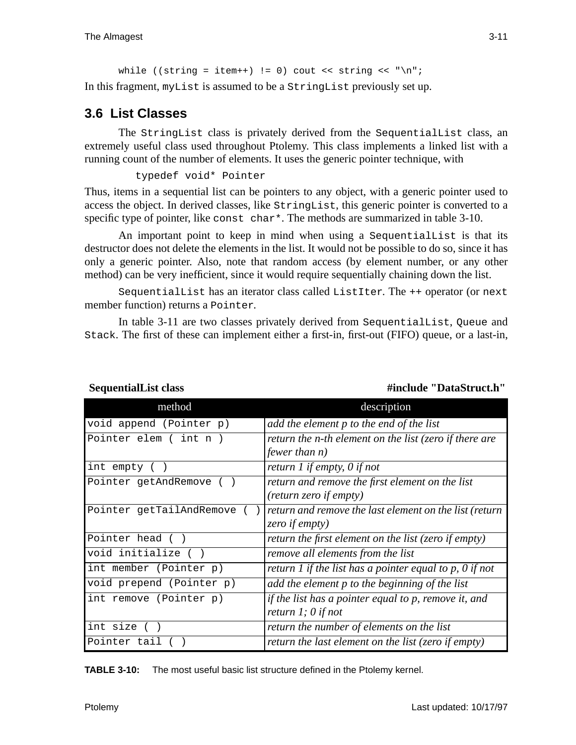```
while ((string = item++) != 0) cout << string << "\n";
In this fragment, myList is assumed to be a StringList previously set up.
```
# **3.6 List Classes**

The StringList class is privately derived from the SequentialList class, an extremely useful class used throughout Ptolemy. This class implements a linked list with a running count of the number of elements. It uses the generic pointer technique, with

```
typedef void* Pointer
```
Thus, items in a sequential list can be pointers to any object, with a generic pointer used to access the object. In derived classes, like StringList, this generic pointer is converted to a specific type of pointer, like const char<sup>\*</sup>. The methods are summarized in table  $3-10$ .

An important point to keep in mind when using a SequentialList is that its destructor does not delete the elements in the list. It would not be possible to do so, since it has only a generic pointer. Also, note that random access (by element number, or any other method) can be very inefficient, since it would require sequentially chaining down the list.

SequentialList has an iterator class called ListIter. The ++ operator (or next member function) returns a Pointer.

In table 3-11 are two classes privately derived from SequentialList, Queue and Stack. The first of these can implement either a first-in, first-out (FIFO) queue, or a last-in,

| method                   | description                                                                     |
|--------------------------|---------------------------------------------------------------------------------|
| void append (Pointer p)  | add the element p to the end of the list                                        |
| Pointer elem ( int n )   | return the n-th element on the list (zero if there are<br><i>fewer than n)</i>  |
| int empty ( )            | return 1 if empty, 0 if not                                                     |
| Pointer getAndRemove ()  | return and remove the first element on the list<br>(return zero if empty)       |
| Pointer getTailAndRemove | return and remove the last element on the list (return<br>zero if empty)        |
| Pointer head ()          | return the first element on the list (zero if empty)                            |
| void initialize ()       | remove all elements from the list                                               |
| int member (Pointer p)   | return 1 if the list has a pointer equal to p, $\theta$ if not                  |
| void prepend (Pointer p) | add the element p to the beginning of the list                                  |
| int remove (Pointer p)   | if the list has a pointer equal to p, remove it, and<br>return $l$ ; $0$ if not |
| int size ()              | return the number of elements on the list                                       |
| Pointer tail             | return the last element on the list (zero if empty)                             |

**SequentialList class** #include "DataStruct.h"

**TABLE 3-10:** The most useful basic list structure defined in the Ptolemy kernel.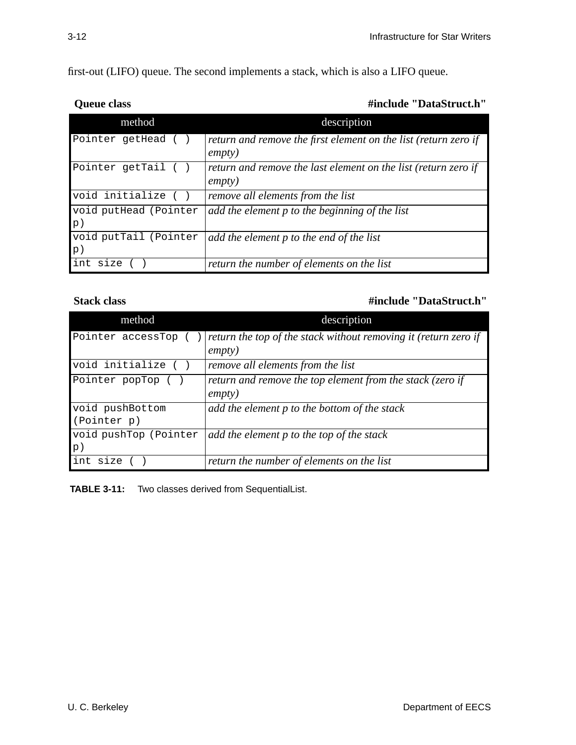first-out (LIFO) queue. The second implements a stack, which is also a LIFO queue.

### **Queue class** #include "DataStruct.h"

| method                                  | description                                                                       |
|-----------------------------------------|-----------------------------------------------------------------------------------|
| Pointer getHead ()                      | return and remove the first element on the list (return zero if<br><i>empty</i> ) |
| Pointer getTail ()                      | return and remove the last element on the list (return zero if<br><i>empty</i> )  |
| void initialize ()                      | remove all elements from the list                                                 |
| void putHead (Pointer<br> p             | add the element p to the beginning of the list                                    |
| void putTail (Pointer<br>$\mathbf{p}$ ) | add the element p to the end of the list                                          |
| int size                                | return the number of elements on the list                                         |

### **Stack class #include "DataStruct.h"**

| method                         | description                                                                       |
|--------------------------------|-----------------------------------------------------------------------------------|
| Pointer accessTop              | return the top of the stack without removing it (return zero if<br><i>empty</i> ) |
| void initialize ()             | remove all elements from the list                                                 |
| Pointer popTop                 | return and remove the top element from the stack (zero if<br><i>empty</i> )       |
| void pushBottom<br>(Pointer p) | add the element p to the bottom of the stack                                      |
| void pushTop (Pointer<br>p)    | add the element p to the top of the stack                                         |
| int size                       | return the number of elements on the list                                         |

**TABLE 3-11:** Two classes derived from SequentialList.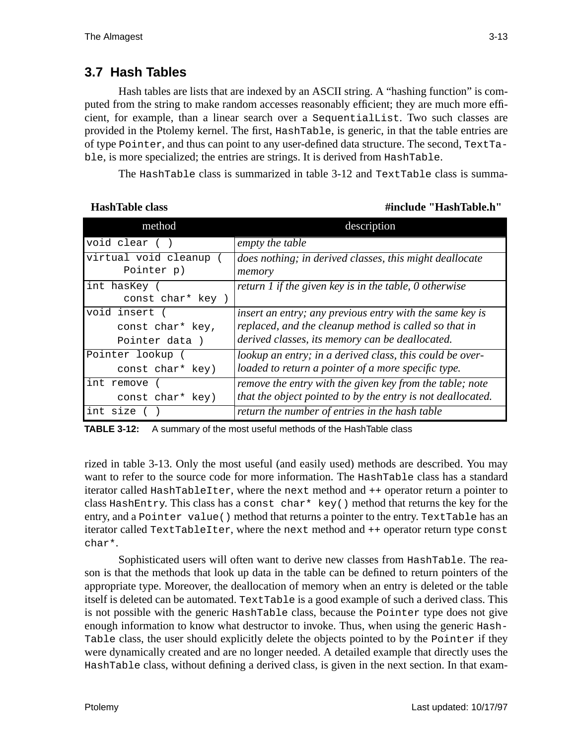# **3.7 Hash Tables**

Hash tables are lists that are indexed by an ASCII string. A "hashing function" is computed from the string to make random accesses reasonably efficient; they are much more efficient, for example, than a linear search over a SequentialList. Two such classes are provided in the Ptolemy kernel. The first, HashTable, is generic, in that the table entries are of type Pointer, and thus can point to any user-defined data structure. The second, TextTable, is more specialized; the entries are strings. It is derived from HashTable.

The HashTable class is summarized in table 3-12 and TextTable class is summa-

 **HashTable class #include "HashTable.h"**

| method               | description                                                   |
|----------------------|---------------------------------------------------------------|
| void clear ()        | empty the table                                               |
| virtual void cleanup | does nothing; in derived classes, this might deallocate       |
| Pointer p)           | memory                                                        |
| int hasKey (         | return 1 if the given key is in the table, $\theta$ otherwise |
| const char* key )    |                                                               |
| void insert          | insert an entry; any previous entry with the same key is      |
| const char* key,     | replaced, and the cleanup method is called so that in         |
| Pointer data)        | derived classes, its memory can be deallocated.               |
| Pointer lookup (     | lookup an entry; in a derived class, this could be over-      |
| const char* key)     | loaded to return a pointer of a more specific type.           |
| int remove           | remove the entry with the given key from the table; note      |
| const char* key)     | that the object pointed to by the entry is not deallocated.   |
| int size             | return the number of entries in the hash table                |

**TABLE 3-12:** A summary of the most useful methods of the HashTable class

rized in table 3-13. Only the most useful (and easily used) methods are described. You may want to refer to the source code for more information. The HashTable class has a standard iterator called HashTableIter, where the next method and ++ operator return a pointer to class HashEntry. This class has a const char\* key() method that returns the key for the entry, and a Pointer value() method that returns a pointer to the entry. TextTable has an iterator called TextTableIter, where the next method and ++ operator return type const char\*.

Sophisticated users will often want to derive new classes from HashTable. The reason is that the methods that look up data in the table can be defined to return pointers of the appropriate type. Moreover, the deallocation of memory when an entry is deleted or the table itself is deleted can be automated. TextTable is a good example of such a derived class. This is not possible with the generic HashTable class, because the Pointer type does not give enough information to know what destructor to invoke. Thus, when using the generic Hash-Table class, the user should explicitly delete the objects pointed to by the Pointer if they were dynamically created and are no longer needed. A detailed example that directly uses the HashTable class, without defining a derived class, is given in the next section. In that exam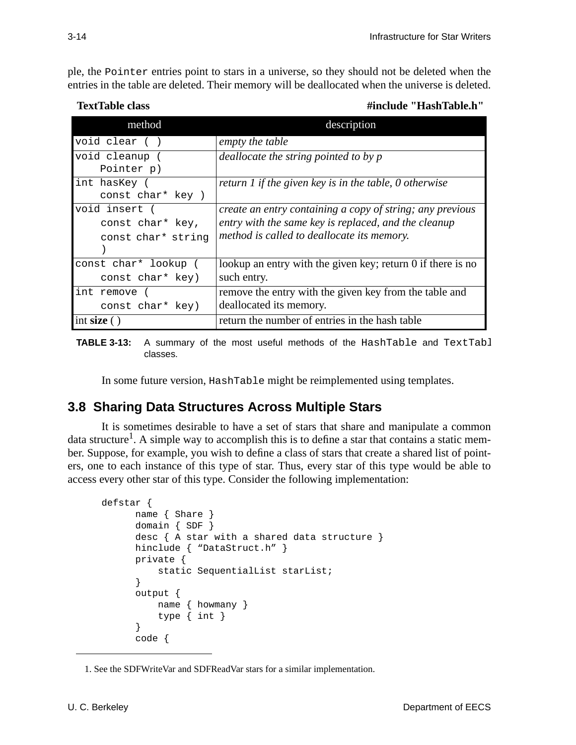ple, the Pointer entries point to stars in a universe, so they should not be deleted when the entries in the table are deleted. Their memory will be deallocated when the universe is deleted.

 **TextTable class #include "HashTable.h"**

| method               | description                                                 |
|----------------------|-------------------------------------------------------------|
| void clear ()        | empty the table                                             |
| void cleanup (       | deallocate the string pointed to by $p$                     |
| Pointer p)           |                                                             |
| int hasKey (         | return 1 if the given key is in the table, 0 otherwise      |
| const char* key )    |                                                             |
| void insert (        | create an entry containing a copy of string; any previous   |
| const char* key,     | entry with the same key is replaced, and the cleanup        |
| const char* string   | method is called to deallocate its memory.                  |
|                      |                                                             |
| const char* lookup ( | lookup an entry with the given key; return 0 if there is no |
| const char* key)     | such entry.                                                 |
| int remove           | remove the entry with the given key from the table and      |
| const char* key)     | deallocated its memory.                                     |
| int size()           | return the number of entries in the hash table              |

**TABLE 3-13:** A summary of the most useful methods of the HashTable and TextTabl classes.

In some future version, HashTable might be reimplemented using templates.

# **3.8 Sharing Data Structures Across Multiple Stars**

It is sometimes desirable to have a set of stars that share and manipulate a common data structure<sup>1</sup>. A simple way to accomplish this is to define a star that contains a static member. Suppose, for example, you wish to define a class of stars that create a shared list of pointers, one to each instance of this type of star. Thus, every star of this type would be able to access every other star of this type. Consider the following implementation:

```
defstar {
      name { Share }
      domain { SDF }
      desc { A star with a shared data structure }
      hinclude { "DataStruct.h" }
      private {
           static SequentialList starList;
      }
      output {
           name { howmany }
           type { int }
      }
      code {
```
<sup>1.</sup> See the SDFWriteVar and SDFReadVar stars for a similar implementation.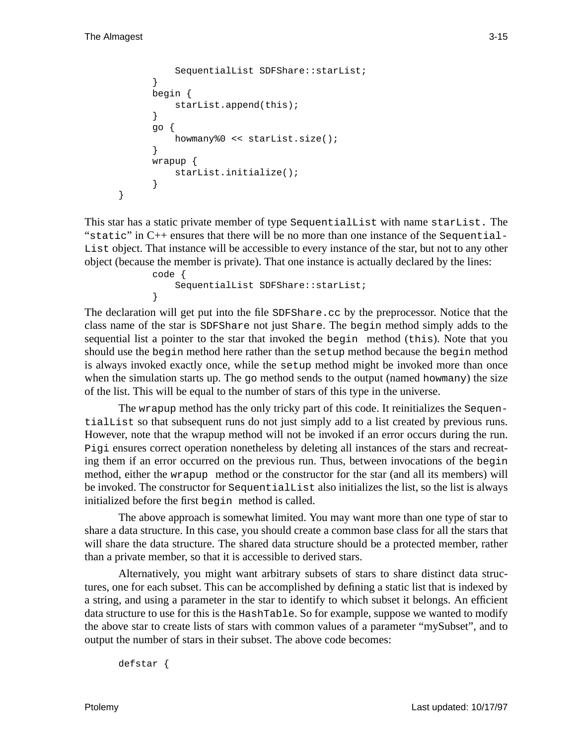}

```
 SequentialList SDFShare::starList;
}
begin {
     starList.append(this);
}
go {
     howmany%0 << starList.size();
}
wrapup {
     starList.initialize();
}
```
This star has a static private member of type SequentialList with name starList. The "static" in  $C_{++}$  ensures that there will be no more than one instance of the Sequential-List object. That instance will be accessible to every instance of the star, but not to any other object (because the member is private). That one instance is actually declared by the lines:

```
code {
     SequentialList SDFShare::starList;
}
```
The declaration will get put into the file SDFShare.cc by the preprocessor. Notice that the class name of the star is SDFShare not just Share. The begin method simply adds to the sequential list a pointer to the star that invoked the begin method (this). Note that you should use the begin method here rather than the setup method because the begin method is always invoked exactly once, while the setup method might be invoked more than once when the simulation starts up. The  $q\circ$  method sends to the output (named howmany) the size of the list. This will be equal to the number of stars of this type in the universe.

The wrapup method has the only tricky part of this code. It reinitializes the SequentialList so that subsequent runs do not just simply add to a list created by previous runs. However, note that the wrapup method will not be invoked if an error occurs during the run. Pigi ensures correct operation nonetheless by deleting all instances of the stars and recreating them if an error occurred on the previous run. Thus, between invocations of the begin method, either the wrapup method or the constructor for the star (and all its members) will be invoked. The constructor for SequentialList also initializes the list, so the list is always initialized before the first begin method is called.

The above approach is somewhat limited. You may want more than one type of star to share a data structure. In this case, you should create a common base class for all the stars that will share the data structure. The shared data structure should be a protected member, rather than a private member, so that it is accessible to derived stars.

Alternatively, you might want arbitrary subsets of stars to share distinct data structures, one for each subset. This can be accomplished by defining a static list that is indexed by a string, and using a parameter in the star to identify to which subset it belongs. An efficient data structure to use for this is the HashTable. So for example, suppose we wanted to modify the above star to create lists of stars with common values of a parameter "mySubset", and to output the number of stars in their subset. The above code becomes:

defstar {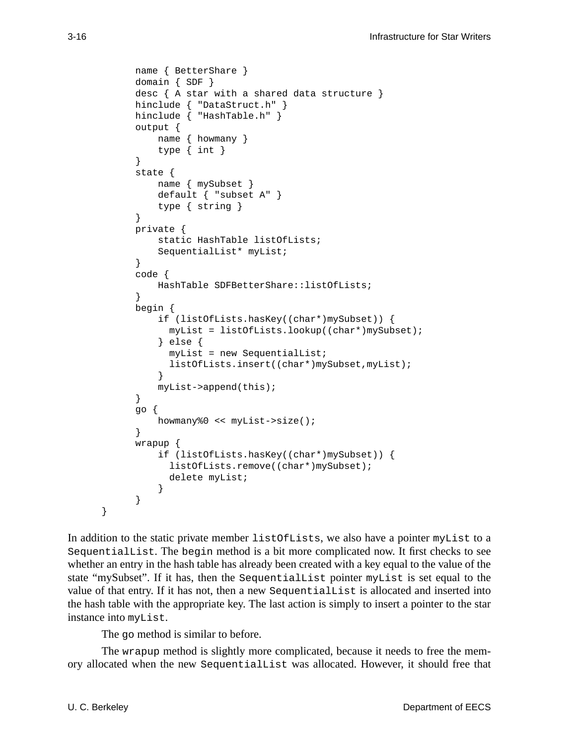```
name { BetterShare }
domain { SDF }
desc { A star with a shared data structure }
hinclude { "DataStruct.h" }
hinclude { "HashTable.h" }
output {
     name { howmany }
     type { int }
}
state {
     name { mySubset }
     default { "subset A" }
     type { string }
}
private {
     static HashTable listOfLists;
     SequentialList* myList;
}
code {
     HashTable SDFBetterShare::listOfLists;
}
begin {
     if (listOfLists.hasKey((char*)mySubset)) {
      myList = listOfLists.lookup((char*)mySubset);
     } else {
      myList = new SequentialList;
      listOfLists.insert((char*)mySubset,myList);
     }
     myList->append(this);
}
go {
     howmany%0 << myList->size();
}
wrapup {
     if (listOfLists.hasKey((char*)mySubset)) {
      listOfLists.remove((char*)mySubset);
      delete myList;
     }
}
```
In addition to the static private member listOfLists, we also have a pointer myList to a SequentialList. The begin method is a bit more complicated now. It first checks to see whether an entry in the hash table has already been created with a key equal to the value of the state "mySubset". If it has, then the SequentialList pointer myList is set equal to the value of that entry. If it has not, then a new SequentialList is allocated and inserted into the hash table with the appropriate key. The last action is simply to insert a pointer to the star instance into myList.

The go method is similar to before.

The wrapup method is slightly more complicated, because it needs to free the memory allocated when the new SequentialList was allocated. However, it should free that

}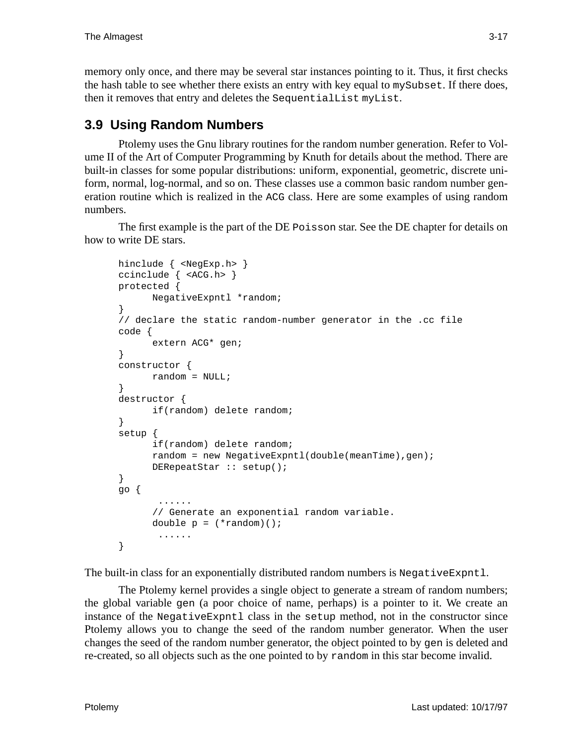memory only once, and there may be several star instances pointing to it. Thus, it first checks the hash table to see whether there exists an entry with key equal to mySubset. If there does, then it removes that entry and deletes the SequentialList myList.

# **3.9 Using Random Numbers**

Ptolemy uses the Gnu library routines for the random number generation. Refer to Volume II of the Art of Computer Programming by Knuth for details about the method. There are built-in classes for some popular distributions: uniform, exponential, geometric, discrete uniform, normal, log-normal, and so on. These classes use a common basic random number generation routine which is realized in the ACG class. Here are some examples of using random numbers.

The first example is the part of the DE Poisson star. See the DE chapter for details on how to write DE stars.

```
hinclude { <NegExp.h> }
ccinclude { <ACG.h> }
protected {
      NegativeExpntl *random;
}
// declare the static random-number generator in the .cc file
code {
      extern ACG* gen;
}
constructor {
      random = NULL;
}
destructor {
      if(random) delete random;
}
setup {
      if(random) delete random;
      random = new NegativeExpntl(double(meanTime),gen);
      DERepeatStar :: setup();
}
go {
        ......
      // Generate an exponential random variable.
      double p = (*random)( ;
        ......
}
```
The built-in class for an exponentially distributed random numbers is NegativeExpntl.

The Ptolemy kernel provides a single object to generate a stream of random numbers; the global variable gen (a poor choice of name, perhaps) is a pointer to it. We create an instance of the NegativeExpntl class in the setup method, not in the constructor since Ptolemy allows you to change the seed of the random number generator. When the user changes the seed of the random number generator, the object pointed to by gen is deleted and re-created, so all objects such as the one pointed to by random in this star become invalid.